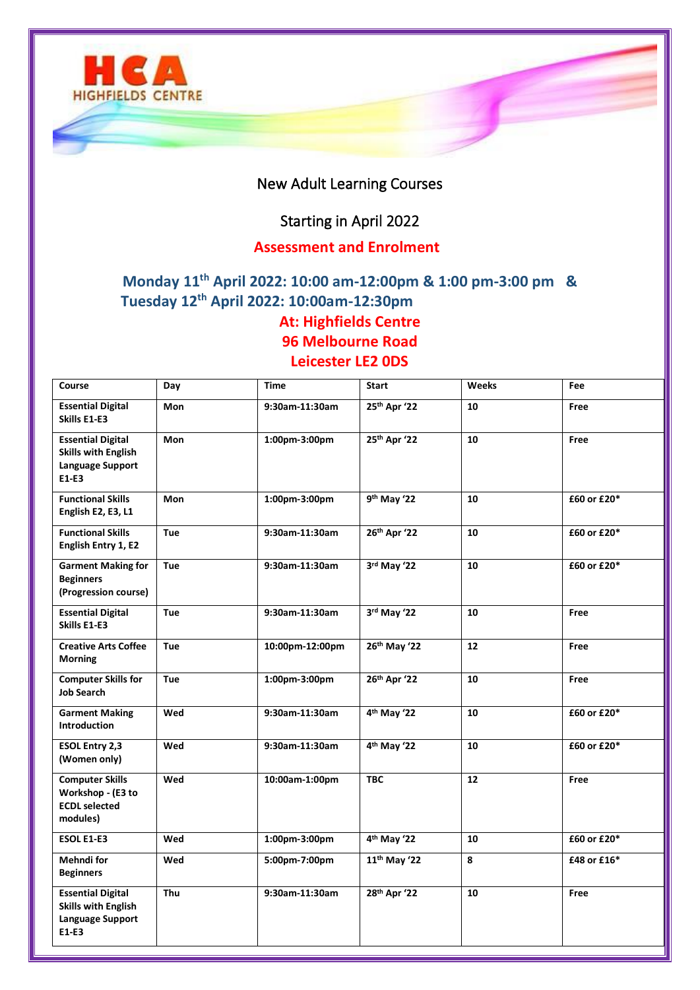

## New Adult Learning Courses

## Starting in April 2022

## **Assessment and Enrolment**

## **Monday 11th April 2022: 10:00 am-12:00pm & 1:00 pm-3:00 pm & Tuesday 12th April 2022: 10:00am-12:30pm At: Highfields Centre 96 Melbourne Road Leicester LE2 0DS**

| Course                                                                                | Day        | Time                 | <b>Start</b>             | Weeks           | Fee         |
|---------------------------------------------------------------------------------------|------------|----------------------|--------------------------|-----------------|-------------|
| <b>Essential Digital</b><br>Skills E1-E3                                              | Mon        | 9:30am-11:30am       | 25th Apr '22             | 10              | Free        |
| <b>Essential Digital</b><br><b>Skills with English</b><br>Language Support<br>$E1-E3$ | <b>Mon</b> | $1:00$ pm- $3:00$ pm | 25th Apr '22             | 10 <sup>°</sup> | Free        |
| <b>Functional Skills</b><br>English E2, E3, L1                                        | <b>Mon</b> | 1:00pm-3:00pm        | 9 <sup>th</sup> May '22  | 10              | £60 or £20* |
| <b>Functional Skills</b><br>English Entry 1, E2                                       | Tue        | 9:30am-11:30am       | 26th Apr '22             | 10              | £60 or £20* |
| <b>Garment Making for</b><br><b>Beginners</b><br>(Progression course)                 | Tue        | 9:30am-11:30am       | 3rd May '22              | 10              | £60 or £20* |
| <b>Essential Digital</b><br>Skills E1-E3                                              | Tue        | 9:30am-11:30am       | 3rd May '22              | 10              | Free        |
| <b>Creative Arts Coffee</b><br><b>Morning</b>                                         | Tue        | 10:00pm-12:00pm      | 26th May '22             | 12 <sup>2</sup> | Free        |
| <b>Computer Skills for</b><br><b>Job Search</b>                                       | Tue        | 1:00pm-3:00pm        | 26th Apr '22             | 10              | Free        |
| <b>Garment Making</b><br><b>Introduction</b>                                          | Wed        | 9:30am-11:30am       | 4 <sup>th</sup> May '22  | 10              | £60 or £20* |
| <b>ESOL Entry 2,3</b><br>(Women only)                                                 | Wed        | 9:30am-11:30am       | 4 <sup>th</sup> May '22  | 10              | £60 or £20* |
| <b>Computer Skills</b><br>Workshop - (E3 to<br><b>ECDL</b> selected<br>modules)       | Wed        | 10:00am-1:00pm       | <b>TBC</b>               | 12 <sup>2</sup> | Free        |
| <b>ESOL E1-E3</b>                                                                     | Wed        | 1:00pm-3:00pm        | 4 <sup>th</sup> May '22  | 10              | £60 or £20* |
| <b>Mehndi for</b><br><b>Beginners</b>                                                 | Wed        | 5:00pm-7:00pm        | 11 <sup>th</sup> May '22 | 8               | £48 or £16* |
| <b>Essential Digital</b><br><b>Skills with English</b><br>Language Support<br>$E1-E3$ | Thu        | 9:30am-11:30am       | 28th Apr '22             | 10              | Free        |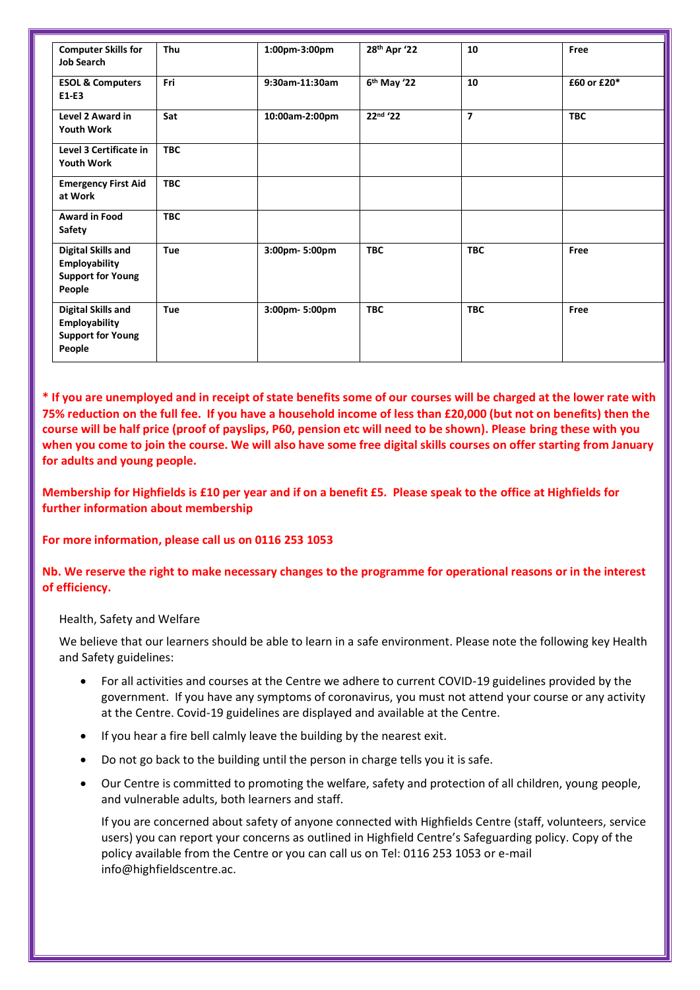| <b>Computer Skills for</b><br><b>Job Search</b>                                  | Thu        | 1:00pm-3:00pm  | 28 <sup>th</sup> Apr '22 | 10             | Free        |
|----------------------------------------------------------------------------------|------------|----------------|--------------------------|----------------|-------------|
| <b>ESOL &amp; Computers</b><br>E1-E3                                             | Fri        | 9:30am-11:30am | 6 <sup>th</sup> May '22  | 10             | £60 or £20* |
| Level 2 Award in<br><b>Youth Work</b>                                            | Sat        | 10:00am-2:00pm | 22nd '22                 | $\overline{ }$ | <b>TBC</b>  |
| Level 3 Certificate in<br><b>Youth Work</b>                                      | <b>TBC</b> |                |                          |                |             |
| <b>Emergency First Aid</b><br>at Work                                            | <b>TBC</b> |                |                          |                |             |
| <b>Award in Food</b><br>Safety                                                   | <b>TBC</b> |                |                          |                |             |
| <b>Digital Skills and</b><br>Employability<br><b>Support for Young</b><br>People | Tue        | 3:00pm-5:00pm  | <b>TBC</b>               | <b>TBC</b>     | Free        |
| <b>Digital Skills and</b><br>Employability<br><b>Support for Young</b><br>People | Tue        | 3:00pm-5:00pm  | <b>TBC</b>               | <b>TBC</b>     | Free        |

**\* If you are unemployed and in receipt of state benefits some of our courses will be charged at the lower rate with 75% reduction on the full fee. If you have a household income of less than £20,000 (but not on benefits) then the course will be half price (proof of payslips, P60, pension etc will need to be shown). Please bring these with you when you come to join the course. We will also have some free digital skills courses on offer starting from January for adults and young people.**

**Membership for Highfields is £10 per year and if on a benefit £5. Please speak to the office at Highfields for further information about membership**

**For more information, please call us on 0116 253 1053**

**Nb. We reserve the right to make necessary changes to the programme for operational reasons or in the interest of efficiency.**

Health, Safety and Welfare

We believe that our learners should be able to learn in a safe environment. Please note the following key Health and Safety guidelines:

- For all activities and courses at the Centre we adhere to current COVID-19 guidelines provided by the government. If you have any symptoms of coronavirus, you must not attend your course or any activity at the Centre. Covid-19 guidelines are displayed and available at the Centre.
- If you hear a fire bell calmly leave the building by the nearest exit.
- Do not go back to the building until the person in charge tells you it is safe.
- Our Centre is committed to promoting the welfare, safety and protection of all children, young people, and vulnerable adults, both learners and staff.

If you are concerned about safety of anyone connected with Highfields Centre (staff, volunteers, service users) you can report your concerns as outlined in Highfield Centre's Safeguarding policy. Copy of the policy available from the Centre or you can call us on Tel: 0116 253 1053 or e-mail info@highfieldscentre.ac.